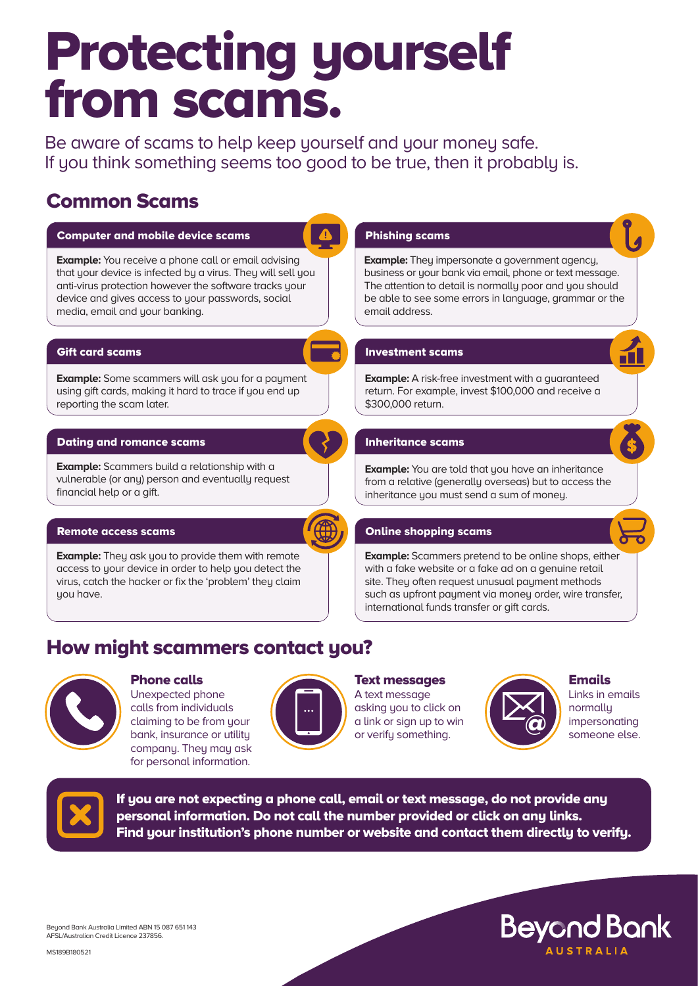# Protecting yourself from scams.

Be aware of scams to help keep yourself and your money safe. If you think something seems too good to be true, then it probably is.

## Common Scams





### Phone calls

Unexpected phone calls from individuals claiming to be from your bank, insurance or utility company. They may ask for personal information.



#### Text messages

A text message asking you to click on a link or sign up to win or verify something.



Emails Links in emails normally impersonating<br>someone else.

**Beyond Bank** 



If you are not expecting a phone call, email or text message, do not provide any personal information. Do not call the number provided or click on any links. Find your institution's phone number or website and contact them directly to verify.

Beyond Bank Australia Limited ABN 15 087 651 143 AFSL/Australian Credit Licence 237856.